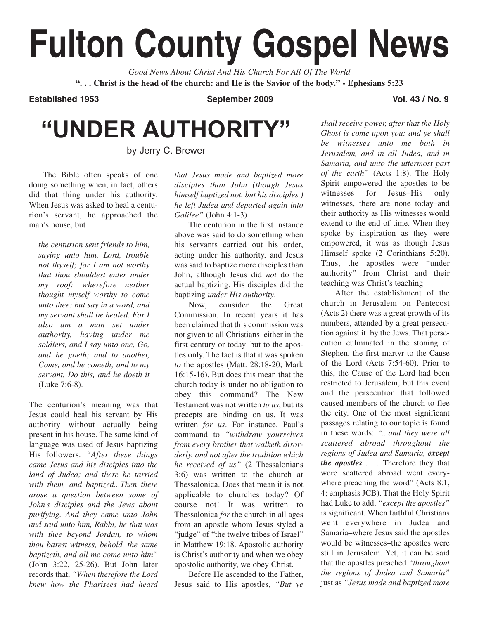# **Fulton County Gospel News**

*Good News About Christ And His Church For All Of The World* **". . . Christ is the head of the church: and He is the Savior of the body." - Ephesians 5:23**

Established 1953 **September 2009** Vol. 43 / No. 9

# **"UNDER AUTHORITY"**

by Jerry C. Brewer

The Bible often speaks of one doing something when, in fact, others did that thing under his authority. When Jesus was asked to heal a centurion's servant, he approached the man's house, but

*the centurion sent friends to him, saying unto him, Lord, trouble not thyself; for I am not worthy that thou shouldest enter under my roof: wherefore neither thought myself worthy to come unto thee: but say in a word, and my servant shall be healed. For I also am a man set under authority, having under me soldiers, and I say unto one, Go, and he goeth; and to another, Come, and he cometh; and to my servant, Do this, and he doeth it* (Luke 7:6-8).

The centurion's meaning was that Jesus could heal his servant by His authority without actually being present in his house. The same kind of language was used of Jesus baptizing His followers. *"After these things came Jesus and his disciples into the land of Judea; and there he tarried with them, and baptized...Then there arose a question between some of John's disciples and the Jews about purifying. And they came unto John and said unto him, Rabbi, he that was with thee beyond Jordan, to whom thou barest witness, behold, the same baptizeth, and all me come unto him"* (John 3:22, 25-26). But John later records that, *"When therefore the Lord knew how the Pharisees had heard*

*that Jesus made and baptized more disciples than John (though Jesus himself baptized not, but his disciples,) he left Judea and departed again into Galilee"* (John 4:1-3).

The centurion in the first instance above was said to do something when his servants carried out his order, acting under his authority, and Jesus was said to baptize more disciples than John, although Jesus did *not* do the actual baptizing. His disciples did the baptizing *under His authority*.

Now, consider the Great Commission. In recent years it has been claimed that this commission was not given to all Christians–either in the first century or today–but to the apostles only. The fact is that it was spoken *to* the apostles (Matt. 28:18-20; Mark 16:15-16). But does this mean that the church today is under no obligation to obey this command? The New Testament was not written *to us*, but its precepts are binding on us. It was written *for us*. For instance, Paul's command to *"withdraw yourselves from every brother that walketh disorderly, and not after the tradition which he received of us"* (2 Thessalonians 3:6) was written to the church at Thessalonica. Does that mean it is not applicable to churches today? Of course not! It was written to Thessalonica *for* the church in all ages from an apostle whom Jesus styled a "judge" of "the twelve tribes of Israel" in Matthew 19:18. Apostolic authority is Christ's authority and when we obey apostolic authority, we obey Christ.

Before He ascended to the Father, Jesus said to His apostles, *"But ye*

*shall receive power, after that the Holy Ghost is come upon you: and ye shall be witnesses unto me both in Jerusalem, and in all Judea, and in Samaria, and unto the uttermost part of the earth"* (Acts 1:8). The Holy Spirit empowered the apostles to be witnesses for Jesus–His only witnesses, there are none today–and their authority as His witnesses would extend to the end of time. When they spoke by inspiration as they were empowered, it was as though Jesus Himself spoke (2 Corinthians 5:20). Thus, the apostles were "under authority" from Christ and their teaching was Christ's teaching

After the establishment of the church in Jerusalem on Pentecost (Acts 2) there was a great growth of its numbers, attended by a great persecution against it by the Jews. That persecution culminated in the stoning of Stephen, the first martyr to the Cause of the Lord (Acts 7:54-60). Prior to this, the Cause of the Lord had been restricted to Jerusalem, but this event and the persecution that followed caused members of the church to flee the city. One of the most significant passages relating to our topic is found in these words: *"...and they were all scattered abroad throughout the regions of Judea and Samaria, except the apostles . . .* Therefore they that were scattered abroad went everywhere preaching the word" (Acts 8:1, 4; emphasis JCB). That the Holy Spirit had Luke to add, *"except the apostles"* is significant. When faithful Christians went everywhere in Judea and Samaria–where Jesus said the apostles would be witnesses–the apostles were still in Jerusalem. Yet, it can be said that the apostles preached *"throughout the regions of Judea and Samaria"* just as *"Jesus made and baptized more*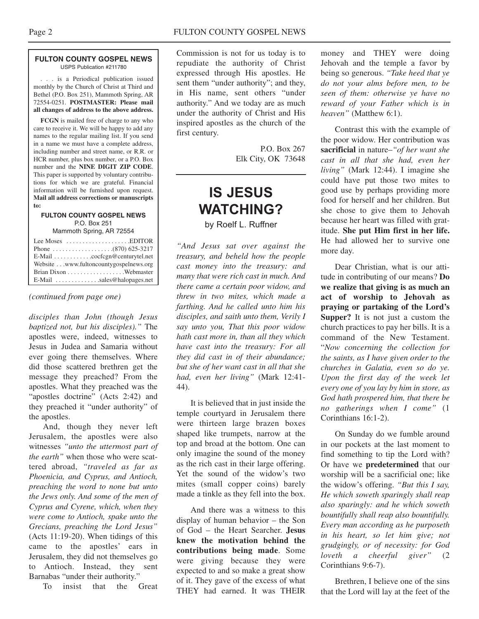#### **FULTON COUNTY GOSPEL NEWS** USPS Publication #211780

. . . is a Periodical publication issued monthly by the Church of Christ at Third and Bethel (P.O. Box 251), Mammoth Spring, AR 72554-0251. **POSTMASTER: Please mail all changes of address to the above address.**

**FCGN** is mailed free of charge to any who care to receive it. We will be happy to add any names to the regular mailing list. If you send in a name we must have a complete address, including number and street name, or R.R. or HCR number, plus box number, or a P.O. Box number and the **NINE DIGIT ZIP CODE**. This paper is supported by voluntary contributions for which we are grateful. Financial information will be furnished upon request. **Mail all address corrections or manuscripts to:**

#### **FULTON COUNTY GOSPEL NEWS** P.O. Box 251 Mammoth Spring, AR 72554

| Website www.fultoncountygospelnews.org |
|----------------------------------------|
|                                        |
| $E$ -Mail $\ldots$ sales@halopages.net |

*(continued from page one)*

*disciples than John (though Jesus baptized not, but his disciples)."* The apostles were, indeed, witnesses to Jesus in Judea and Samaria without ever going there themselves. Where did those scattered brethren get the message they preached? From the apostles. What they preached was the "apostles doctrine" (Acts 2:42) and they preached it "under authority" of the apostles.

And, though they never left Jerusalem, the apostles were also witnesses *"unto the uttermost part of the earth"* when those who were scattered abroad, *"traveled as far as Phoenicia, and Cyprus, and Antioch, preaching the word to none but unto the Jews only. And some of the men of Cyprus and Cyrene, which, when they were come to Antioch, spake unto the Grecians, preaching the Lord Jesus"* (Acts 11:19-20). When tidings of this came to the apostles' ears in Jerusalem, they did not themselves go to Antioch. Instead, they sent Barnabas "under their authority."

To insist that the Great

Commission is not for us today is to repudiate the authority of Christ expressed through His apostles. He sent them "under authority"; and they, in His name, sent others "under authority." And we today are as much under the authority of Christ and His inspired apostles as the church of the first century.

> P.O. Box 267 Elk City, OK 73648

### **IS JESUS WATCHING?** by Roelf L. Ruffner

*"And Jesus sat over against the treasury, and beheld how the people cast money into the treasury: and many that were rich cast in much. And there came a certain poor widow, and threw in two mites, which made a farthing. And he called unto him his disciples, and saith unto them, Verily I say unto you, That this poor widow hath cast more in, than all they which have cast into the treasury: For all they did cast in of their abundance; but she of her want cast in all that she had, even her living"* (Mark 12:41- 44).

It is believed that in just inside the temple courtyard in Jerusalem there were thirteen large brazen boxes shaped like trumpets, narrow at the top and broad at the bottom. One can only imagine the sound of the money as the rich cast in their large offering. Yet the sound of the widow's two mites (small copper coins) barely made a tinkle as they fell into the box.

And there was a witness to this display of human behavior – the Son of God – the Heart Searcher. **Jesus knew the motivation behind the contributions being made**. Some were giving because they were expected to and so make a great show of it. They gave of the excess of what THEY had earned. It was THEIR

money and THEY were doing Jehovah and the temple a favor by being so generous. *"Take heed that ye do not your alms before men, to be seen of them: otherwise ye have no reward of your Father which is in heaven"* (Matthew 6:1).

Contrast this with the example of the poor widow. Her contribution was **sacrificial** in nature–*"of her want she cast in all that she had, even her living"* (Mark 12:44). I imagine she could have put those two mites to good use by perhaps providing more food for herself and her children. But she chose to give them to Jehovah because her heart was filled with gratitude. **She put Him first in her life.** He had allowed her to survive one more day.

Dear Christian, what is our attitude in contributing of our means? **Do we realize that giving is as much an act of worship to Jehovah as praying or partaking of the Lord's Supper?** It is not just a custom the church practices to pay her bills. It is a command of the New Testament. "*Now concerning the collection for the saints, as I have given order to the churches in Galatia, even so do ye. Upon the first day of the week let every one of you lay by him in store, as God hath prospered him, that there be no gatherings when I come"* (1 Corinthians 16:1-2).

On Sunday do we fumble around in our pockets at the last moment to find something to tip the Lord with? Or have we **predetermined** that our worship will be a sacrificial one; like the widow's offering. *"But this I say, He which soweth sparingly shall reap also sparingly: and he which soweth bountifully shall reap also bountifully. Every man according as he purposeth in his heart, so let him give; not grudgingly, or of necessity: for God loveth a cheerful giver"* (2 Corinthians 9:6-7).

Brethren, I believe one of the sins that the Lord will lay at the feet of the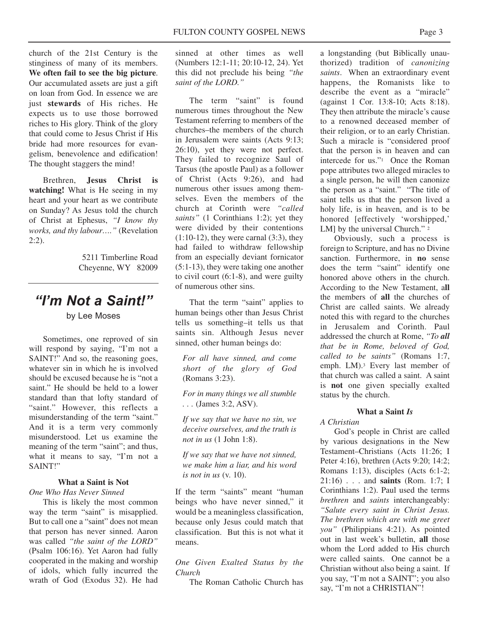church of the 21st Century is the stinginess of many of its members. **We often fail to see the big picture**. Our accumulated assets are just a gift on loan from God. In essence we are just **stewards** of His riches. He expects us to use those borrowed riches to His glory. Think of the glory that could come to Jesus Christ if His bride had more resources for evangelism, benevolence and edification! The thought staggers the mind!

Brethren, **Jesus Christ is watching!** What is He seeing in my heart and your heart as we contribute on Sunday? As Jesus told the church of Christ at Ephesus, *"I know thy works, and thy labour…."* (Revelation 2:2).

> 5211 Timberline Road Cheyenne, WY 82009

## *"I'm Not a Saint!"*

by Lee Moses

Sometimes, one reproved of sin will respond by saying, "I'm not a SAINT!" And so, the reasoning goes, whatever sin in which he is involved should be excused because he is "not a saint." He should be held to a lower standard than that lofty standard of "saint." However, this reflects a misunderstanding of the term "saint." And it is a term very commonly misunderstood. Let us examine the meaning of the term "saint"; and thus, what it means to say, "I'm not a SAINT!"

#### **What a Saint is Not**

#### *One Who Has Never Sinned*

This is likely the most common way the term "saint" is misapplied. But to call one a "saint" does not mean that person has never sinned. Aaron was called *"the saint of the LORD"* (Psalm 106:16). Yet Aaron had fully cooperated in the making and worship of idols, which fully incurred the wrath of God (Exodus 32). He had sinned at other times as well (Numbers 12:1-11; 20:10-12, 24). Yet this did not preclude his being *"the saint of the LORD."*

The term "saint" is found numerous times throughout the New Testament referring to members of the churches–the members of the church in Jerusalem were saints (Acts 9:13; 26:10), yet they were not perfect. They failed to recognize Saul of Tarsus (the apostle Paul) as a follower of Christ (Acts 9:26), and had numerous other issues among themselves. Even the members of the church at Corinth were *"called saints"* (1 Corinthians 1:2); yet they were divided by their contentions  $(1:10-12)$ , they were carnal  $(3:3)$ , they had failed to withdraw fellowship from an especially deviant fornicator (5:1-13), they were taking one another to civil court (6:1-8), and were guilty of numerous other sins.

That the term "saint" applies to human beings other than Jesus Christ tells us something–it tells us that saints sin. Although Jesus never sinned, other human beings do:

*For all have sinned, and come short of the glory of God* (Romans 3:23).

*For in many things we all stumble . . .* (James 3:2, ASV).

*If we say that we have no sin, we deceive ourselves, and the truth is not in us* (1 John 1:8).

*If we say that we have not sinned, we make him a liar, and his word is not in us* (v. 10).

If the term "saints" meant "human beings who have never sinned," it would be a meaningless classification, because only Jesus could match that classification. But this is not what it means.

*One Given Exalted Status by the Church*

The Roman Catholic Church has

a longstanding (but Biblically unauthorized) tradition of *canonizing saints*. When an extraordinary event happens, the Romanists like to describe the event as a "miracle" (against 1 Cor. 13:8-10; Acts 8:18). They then attribute the miracle's cause to a renowned deceased member of their religion, or to an early Christian. Such a miracle is "considered proof that the person is in heaven and can intercede for us."1 Once the Roman pope attributes two alleged miracles to a single person, he will then canonize the person as a "saint." "The title of saint tells us that the person lived a holy life, is in heaven, and is to be honored [effectively 'worshipped,' LM] by the universal Church." 2

Obviously, such a process is foreign to Scripture, and has no Divine sanction. Furthermore, in **no** sense does the term "saint" identify one honored above others in the church. According to the New Testament, a**ll** the members of **all** the churches of Christ are called saints. We already noted this with regard to the churches in Jerusalem and Corinth. Paul addressed the church at Rome, *"To all that be in Rome, beloved of God, called to be saints"* (Romans 1:7, emph. LM).3 Every last member of that church was called a saint. A saint is **not** one given specially exalted status by the church.

#### **What a Saint** *Is*

#### *A Christian*

God's people in Christ are called by various designations in the New Testament–Christians (Acts 11:26; I Peter 4:16), brethren (Acts 9:20; 14:2; Romans 1:13), disciples (Acts 6:1-2; 21:16) . . . and **saints** (Rom. 1:7; I Corinthians 1:2). Paul used the terms *brethren* and *saints* interchangeably: *"Salute every saint in Christ Jesus. The brethren which are with me greet you"* (Philippians 4:21). As pointed out in last week's bulletin, **all** those whom the Lord added to His church were called saints. One cannot be a Christian without also being a saint. If you say, "I'm not a SAINT"; you also say, "I'm not a CHRISTIAN"!